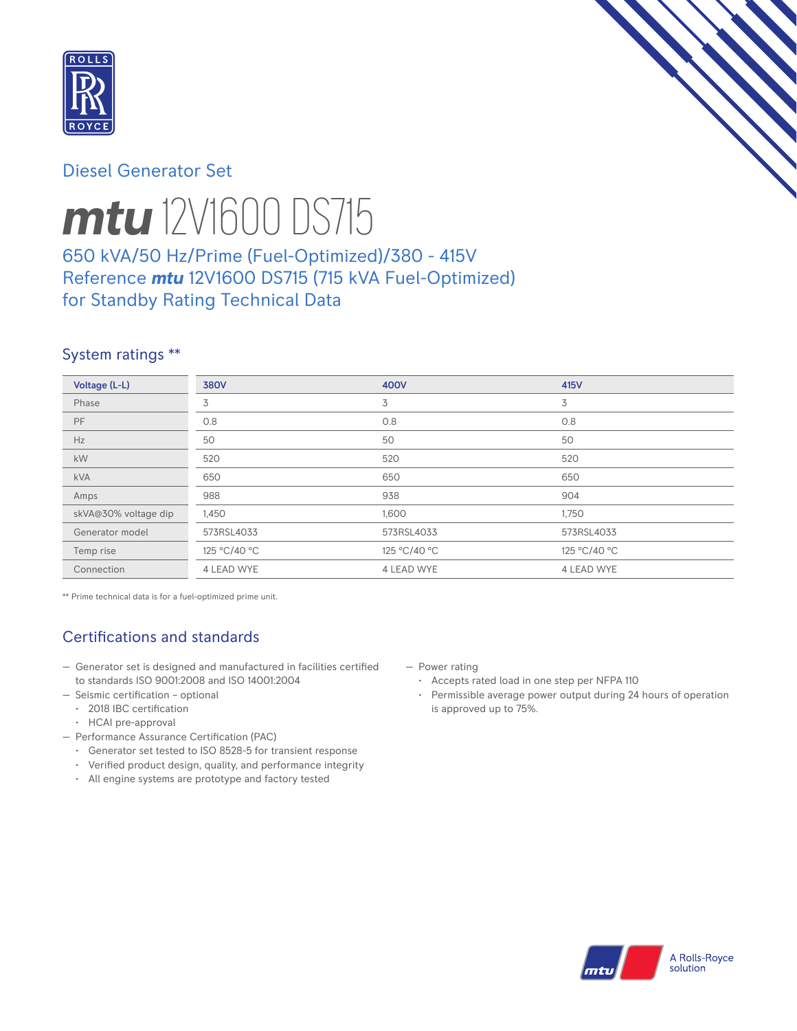

# Diesel Generator Set



# *mtu* 12V1600 DS715

# 650 kVA/50 Hz/Prime (Fuel-Optimized)/380 - 415V Reference *mtu* 12V1600 DS715 (715 kVA Fuel-Optimized) for Standby Rating Technical Data

## System ratings \*\*

| Voltage (L-L)        | <b>380V</b>       | 400V         | 415V         |
|----------------------|-------------------|--------------|--------------|
| Phase                | 3                 | 3            | 3            |
| PF.                  | 0.8               | 0.8          | 0.8          |
| Hz                   | 50                | 50           | 50           |
| kW                   | 520               | 520          | 520          |
| <b>kVA</b>           | 650               | 650          | 650          |
| Amps                 | 988               | 938          | 904          |
| skVA@30% voltage dip | 1,450             | 1,600        | 1,750        |
| Generator model      | 573RSL4033        | 573RSL4033   | 573RSL4033   |
| Temp rise            | 125 °C/40 °C      | 125 °C/40 °C | 125 °C/40 °C |
| Connection           | <b>4 LEAD WYE</b> | 4 LEAD WYE   | 4 LEAD WYE   |

\*\* Prime technical data is for a fuel-optimized prime unit.

# Certifications and standards

- Generator set is designed and manufactured in facilities certified to standards ISO 9001:2008 and ISO 14001:2004
- Seismic certification optional
	- 2018 IBC certification
	- HCAI pre-approval
- Performance Assurance Certification (PAC)
	- Generator set tested to ISO 8528-5 for transient response
	- Verified product design, quality, and performance integrity
	- All engine systems are prototype and factory tested
- Power rating
	- Accepts rated load in one step per NFPA 110
	- Permissible average power output during 24 hours of operation is approved up to 75%.

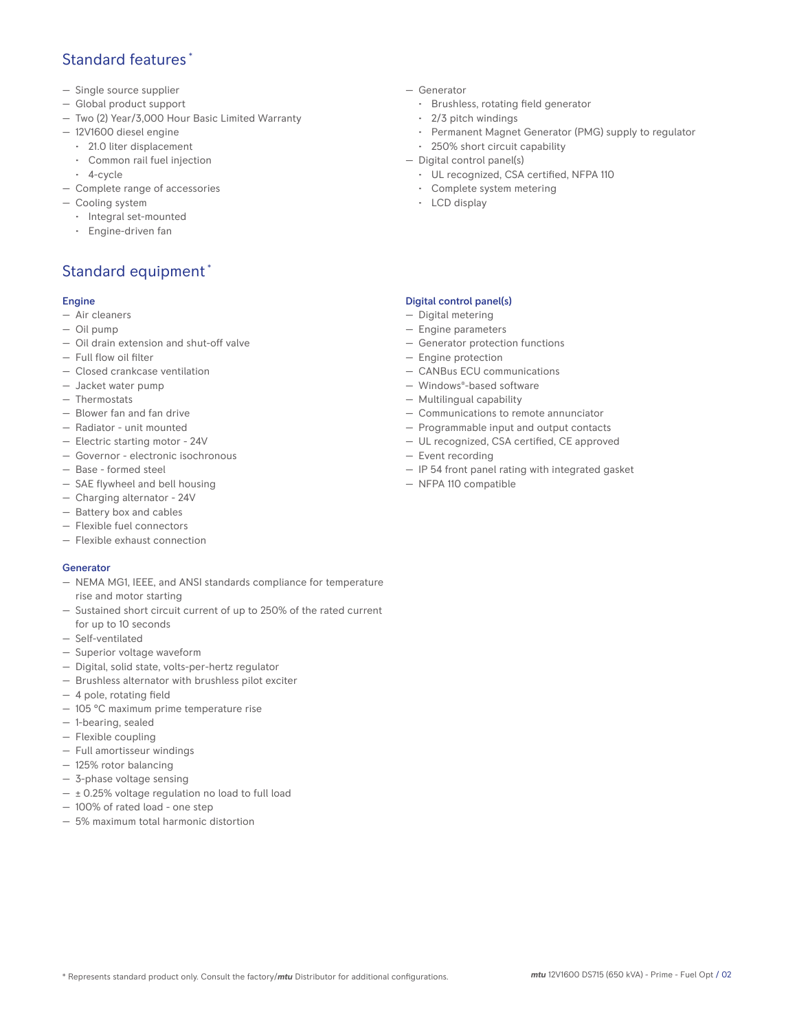## Standard features \*

- Single source supplier
- Global product support
- Two (2) Year/3,000 Hour Basic Limited Warranty
- 12V1600 diesel engine
	- 21.0 liter displacement
	- Common rail fuel injection
- 4-cycle
- Complete range of accessories
- Cooling system
	- Integral set-mounted
	- Engine-driven fan

# Standard equipment \*

### Engine

- Air cleaners
- Oil pump
- Oil drain extension and shut-off valve
- Full flow oil filter
- Closed crankcase ventilation
- Jacket water pump
- Thermostats
- Blower fan and fan drive
- Radiator unit mounted
- Electric starting motor 24V
- Governor electronic isochronous
- Base formed steel
- SAE flywheel and bell housing
- Charging alternator 24V
- Battery box and cables
- Flexible fuel connectors
- Flexible exhaust connection

### Generator

- NEMA MG1, IEEE, and ANSI standards compliance for temperature rise and motor starting
- Sustained short circuit current of up to 250% of the rated current for up to 10 seconds
- Self-ventilated
- Superior voltage waveform
- Digital, solid state, volts-per-hertz regulator
- Brushless alternator with brushless pilot exciter
- 4 pole, rotating field
- 105 °C maximum prime temperature rise
- 1-bearing, sealed
- Flexible coupling
- Full amortisseur windings
- 125% rotor balancing
- 3-phase voltage sensing
- ± 0.25% voltage regulation no load to full load
- 100% of rated load one step
- 5% maximum total harmonic distortion
- Generator
	- Brushless, rotating field generator
	- 2/3 pitch windings
	- Permanent Magnet Generator (PMG) supply to regulator
	- 250% short circuit capability
- Digital control panel(s)
	- UL recognized, CSA certified, NFPA 110
	- Complete system metering
	- LCD display

## Digital control panel(s)

- Digital metering
- Engine parameters
- Generator protection functions
- Engine protection
- CANBus ECU communications
- Windows®-based software
- Multilingual capability
- Communications to remote annunciator
- Programmable input and output contacts
- UL recognized, CSA certified, CE approved
- Event recording
- IP 54 front panel rating with integrated gasket
- NFPA 110 compatible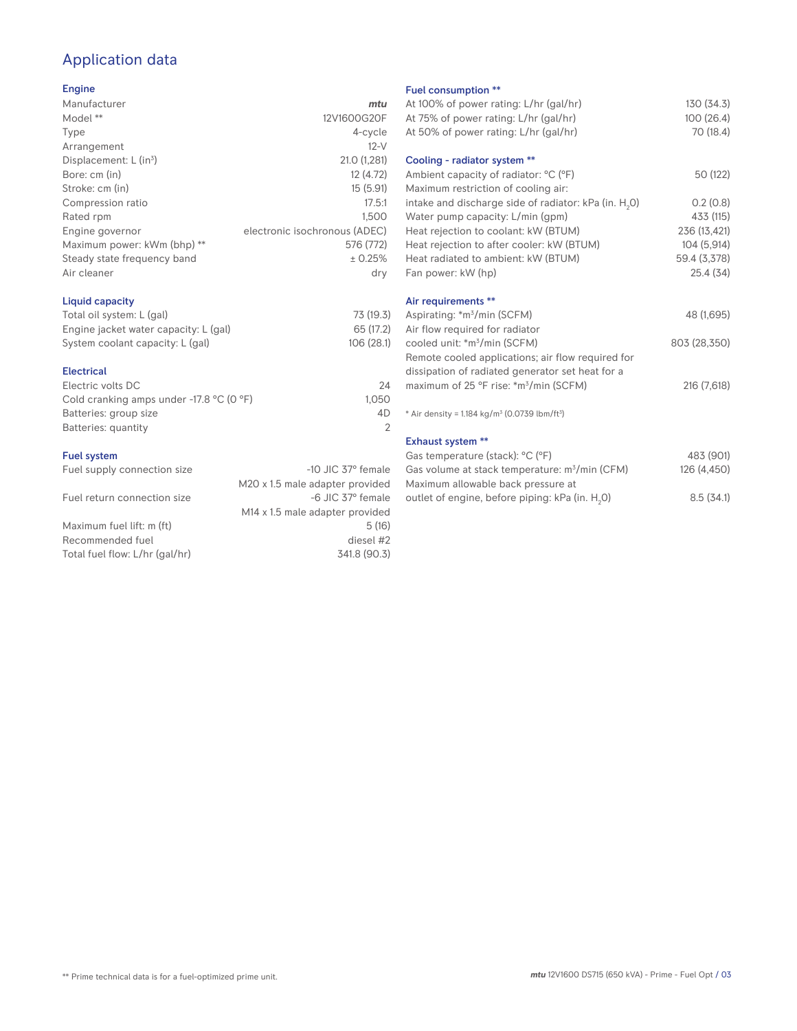# Application data

## Engine

| Manufacturer                         | mtu                           |
|--------------------------------------|-------------------------------|
| Model **                             | 12V1600G20F                   |
| Type                                 | 4-cycle                       |
| Arrangement                          | $12-V$                        |
| Displacement: $L$ (in <sup>3</sup> ) | 21.0 (1,281)                  |
| Bore: cm (in)                        | 12 (4.72)                     |
| Stroke: cm (in)                      | 15(5.91)                      |
| Compression ratio                    | 17.5:1                        |
| Rated rpm                            | 1.500                         |
| Engine governor                      | electronic isochronous (ADEC) |
| Maximum power: kWm (bhp) **          | 576 (772)                     |
| Steady state frequency band          | ± 0.25%                       |
| Air cleaner                          | dry                           |
|                                      |                               |

## Liquid capacity

| Total oil system: L (gal)             | 73 (19.3)  |
|---------------------------------------|------------|
| Engine jacket water capacity: L (gal) | 65 (17.2)  |
| System coolant capacity: L (gal)      | 106 (28.1) |

#### Electrical

| Electric volts DC                                            | 24    |
|--------------------------------------------------------------|-------|
| Cold cranking amps under -17.8 $^{\circ}$ C (O $^{\circ}$ F) | 1.050 |
| Batteries: group size                                        | 4D    |
| Batteries: quantity                                          |       |
|                                                              |       |

#### Fuel system

| Fuel supply connection size    | $-10$ JIC 37 $^{\circ}$ female              | Gas volume at stack temperature: m <sup>3</sup> /min (CF) |
|--------------------------------|---------------------------------------------|-----------------------------------------------------------|
|                                | M20 x 1.5 male adapter provided             | Maximum allowable back pressure at                        |
| Fuel return connection size    | -6 JIC 37° female                           | outlet of engine, before piping: kPa (in. H.O)            |
|                                | M <sub>14</sub> x 1.5 male adapter provided |                                                           |
| Maximum fuel lift: m (ft)      | 5(16)                                       |                                                           |
| Recommended fuel               | diesel #2                                   |                                                           |
| Total fuel flow: L/hr (gal/hr) | 341.8 (90.3)                                |                                                           |
|                                |                                             |                                                           |

#### Fuel consumption \*\*

|                      | <b>LUGE CONSUMPTION</b>                                              |              |
|----------------------|----------------------------------------------------------------------|--------------|
| u                    | At 100% of power rating: L/hr (gal/hr)                               | 130 (34.3)   |
| F                    | At 75% of power rating: L/hr (gal/hr)                                | 100 (26.4)   |
| e                    | At 50% of power rating: L/hr (gal/hr)                                | 70 (18.4)    |
| V                    |                                                                      |              |
| 1)                   | Cooling - radiator system **                                         |              |
| 2)                   | Ambient capacity of radiator: °C (°F)                                | 50 (122)     |
| 1)                   | Maximum restriction of cooling air:                                  |              |
| :1                   | intake and discharge side of radiator: kPa (in. H <sub>2</sub> 0)    | 0.2(0.8)     |
| 0                    | Water pump capacity: L/min (gpm)                                     | 433 (115)    |
| C)                   | Heat rejection to coolant: kW (BTUM)                                 | 236 (13,421) |
| 2)                   | Heat rejection to after cooler: kW (BTUM)                            | 104 (5,914)  |
| ℅                    | Heat radiated to ambient: kW (BTUM)                                  | 59.4 (3,378) |
| .<br>V               | Fan power: kW (hp)                                                   | 25.4(34)     |
|                      | Air requirements **                                                  |              |
| .3)                  | Aspirating: *m <sup>3</sup> /min (SCFM)                              | 48 (1,695)   |
| .2)                  | Air flow required for radiator                                       |              |
| :1)                  | cooled unit: *m <sup>3</sup> /min (SCFM)                             | 803 (28,350) |
|                      | Remote cooled applications; air flow required for                    |              |
|                      | dissipation of radiated generator set heat for a                     |              |
| 24                   | maximum of 25 °F rise: *m <sup>3</sup> /min (SCFM)                   | 216 (7,618)  |
| 50                   |                                                                      |              |
| ŀD<br>$\overline{2}$ | * Air density = $1.184 \text{ kg/m}^3$ (0.0739 lbm/ft <sup>3</sup> ) |              |
|                      | <b>Exhaust system **</b>                                             |              |
|                      | Gas temperature (stack): °C (°F)                                     | 483 (901)    |
| ıle                  | Gas volume at stack temperature: m <sup>3</sup> /min (CFM)           | 126 (4,450)  |
| эd                   | Maximum allowable back pressure at                                   |              |
|                      |                                                                      |              |

0) 8.5 (34.1)